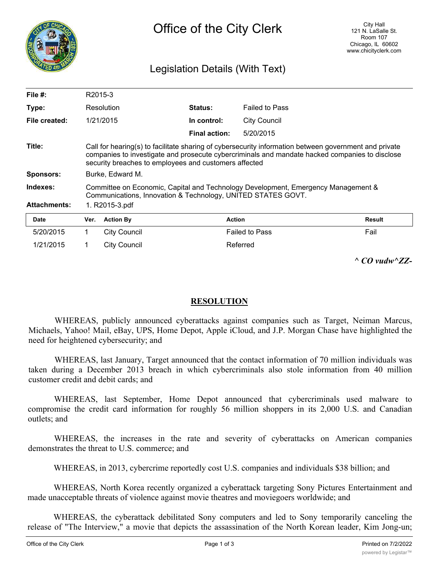

## Legislation Details (With Text)

| File $#$ :          | R2015-3                                                                                                                                                                                                                                                          |                     |                      |                       |               |  |
|---------------------|------------------------------------------------------------------------------------------------------------------------------------------------------------------------------------------------------------------------------------------------------------------|---------------------|----------------------|-----------------------|---------------|--|
| Type:               |                                                                                                                                                                                                                                                                  | Resolution          | <b>Status:</b>       | <b>Failed to Pass</b> |               |  |
| File created:       |                                                                                                                                                                                                                                                                  | 1/21/2015           | In control:          | <b>City Council</b>   |               |  |
|                     |                                                                                                                                                                                                                                                                  |                     | <b>Final action:</b> | 5/20/2015             |               |  |
| Title:              | Call for hearing(s) to facilitate sharing of cybersecurity information between government and private<br>companies to investigate and prosecute cybercriminals and mandate hacked companies to disclose<br>security breaches to employees and customers affected |                     |                      |                       |               |  |
| <b>Sponsors:</b>    | Burke, Edward M.                                                                                                                                                                                                                                                 |                     |                      |                       |               |  |
| Indexes:            | Committee on Economic, Capital and Technology Development, Emergency Management &<br>Communications, Innovation & Technology, UNITED STATES GOVT.                                                                                                                |                     |                      |                       |               |  |
| <b>Attachments:</b> | 1. R2015-3.pdf                                                                                                                                                                                                                                                   |                     |                      |                       |               |  |
| <b>Date</b>         | Ver.                                                                                                                                                                                                                                                             | <b>Action By</b>    |                      | <b>Action</b>         | <b>Result</b> |  |
| 5/20/2015           | 1.                                                                                                                                                                                                                                                               | <b>City Council</b> |                      | <b>Failed to Pass</b> | Fail          |  |
| 1/21/2015           |                                                                                                                                                                                                                                                                  | <b>City Council</b> |                      | Referred              |               |  |

*^ CO vudw^ZZ-*

## **RESOLUTION**

WHEREAS, publicly announced cyberattacks against companies such as Target, Neiman Marcus, Michaels, Yahoo! Mail, eBay, UPS, Home Depot, Apple iCloud, and J.P. Morgan Chase have highlighted the need for heightened cybersecurity; and

WHEREAS, last January, Target announced that the contact information of 70 million individuals was taken during a December 2013 breach in which cybercriminals also stole information from 40 million customer credit and debit cards; and

WHEREAS, last September, Home Depot announced that cybercriminals used malware to compromise the credit card information for roughly 56 million shoppers in its 2,000 U.S. and Canadian outlets; and

WHEREAS, the increases in the rate and severity of cyberattacks on American companies demonstrates the threat to U.S. commerce; and

WHEREAS, in 2013, cybercrime reportedly cost U.S. companies and individuals \$38 billion; and

WHEREAS, North Korea recently organized a cyberattack targeting Sony Pictures Entertainment and made unacceptable threats of violence against movie theatres and moviegoers worldwide; and

WHEREAS, the cyberattack debilitated Sony computers and led to Sony temporarily canceling the release of "The Interview," a movie that depicts the assassination of the North Korean leader, Kim Jong-un;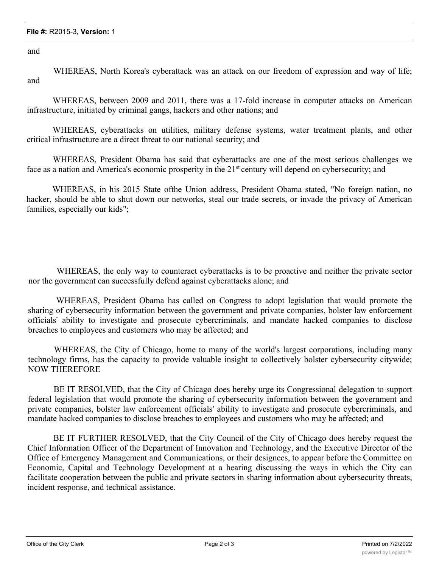and

WHEREAS, North Korea's cyberattack was an attack on our freedom of expression and way of life; and

WHEREAS, between 2009 and 2011, there was a 17-fold increase in computer attacks on American infrastructure, initiated by criminal gangs, hackers and other nations; and

WHEREAS, cyberattacks on utilities, military defense systems, water treatment plants, and other critical infrastructure are a direct threat to our national security; and

WHEREAS, President Obama has said that cyberattacks are one of the most serious challenges we face as a nation and America's economic prosperity in the 21<sup>st</sup> century will depend on cybersecurity; and

WHEREAS, in his 2015 State ofthe Union address, President Obama stated, "No foreign nation, no hacker, should be able to shut down our networks, steal our trade secrets, or invade the privacy of American families, especially our kids";

WHEREAS, the only way to counteract cyberattacks is to be proactive and neither the private sector nor the government can successfully defend against cyberattacks alone; and

WHEREAS, President Obama has called on Congress to adopt legislation that would promote the sharing of cybersecurity information between the government and private companies, bolster law enforcement officials' ability to investigate and prosecute cybercriminals, and mandate hacked companies to disclose breaches to employees and customers who may be affected; and

WHEREAS, the City of Chicago, home to many of the world's largest corporations, including many technology firms, has the capacity to provide valuable insight to collectively bolster cybersecurity citywide; NOW THEREFORE

BE IT RESOLVED, that the City of Chicago does hereby urge its Congressional delegation to support federal legislation that would promote the sharing of cybersecurity information between the government and private companies, bolster law enforcement officials' ability to investigate and prosecute cybercriminals, and mandate hacked companies to disclose breaches to employees and customers who may be affected; and

BE IT FURTHER RESOLVED, that the City Council of the City of Chicago does hereby request the Chief Information Officer of the Department of Innovation and Technology, and the Executive Director of the Office of Emergency Management and Communications, or their designees, to appear before the Committee on Economic, Capital and Technology Development at a hearing discussing the ways in which the City can facilitate cooperation between the public and private sectors in sharing information about cybersecurity threats, incident response, and technical assistance.